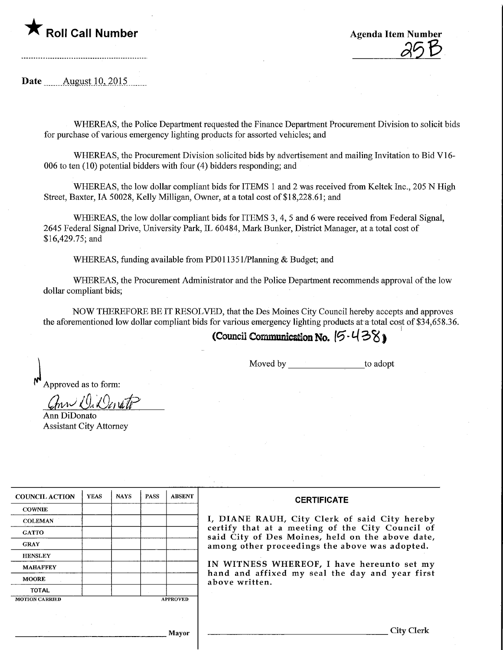

ı Number<br>25 B

Date .Augustlp,.201.5\_

................................

WHEREAS, the Police Department requested the Finance Department Procurement Division to solicit bids for purchase of various emergency lighting products for assorted vehicles; and

WHEREAS, the Procurement Division solicited bids by advertisement and mailing Invitation to Bid VI 6- 006 to ten (10) potential bidders with four (4) bidders responding; and

WHEREAS, the low dollar compliant bids for ITEMS 1 and 2 was received from Keltek Inc., 205 N High Street, Baxter, IA 50028, Kelly Milligan, Owner, at a total cost of \$18,228.61; and

WHEREAS, the low dollar compliant bids for ITEMS 3, 4, 5 and 6 were received from Federal Signal, 2645 Federal Signal Drive, University Park, IL 60484, Mark Bunker, District Manager, at a total cost of \$16,429.75; and

WHEREAS, funding available from PD01 1351/Planning & Budget; and

WHEREAS, the Procurement Administrator and the Police Department recommends approval of the low dollar compliant bids;

NOW THEREFORE BE IT RESOLVED, that the Des Moines City Council hereby accepts and approves the aforementioned low dollar compliant bids for various emergency lighting products at a total cost of \$34,658.36.

## (Council Communication No.  $[5.438]$

Moved by to adopt

Approved as to form:

ann Willerato Ann DiDonato

Assistant City Attorney

| <b>COUNCIL ACTION</b> | <b>YEAS</b>     | <b>NAYS</b> | <b>PASS</b> | <b>ABSENT</b> |
|-----------------------|-----------------|-------------|-------------|---------------|
| <b>COWNIE</b>         |                 |             |             |               |
| <b>COLEMAN</b>        |                 |             |             |               |
| <b>GATTO</b>          |                 |             |             |               |
| <b>GRAY</b>           |                 |             |             |               |
| <b>HENSLEY</b>        |                 |             |             |               |
| <b>MAHAFFEY</b>       |                 |             |             |               |
| <b>MOORE</b>          |                 |             |             |               |
| <b>TOTAL</b>          |                 |             |             |               |
| <b>MOTION CARRIED</b> | <b>APPROVED</b> |             |             |               |

## **CERTIFICATE**

I, DIANE RAUH, City Clerk of said City hereby certify that at a meeting of the City Council of said City of Des Moines, held on the above date, among other proceedings the above was adopted.

IN WITNESS WHEREOF, I have hereunto set my hand and affixed my seal the day and year first above written.

Mayor